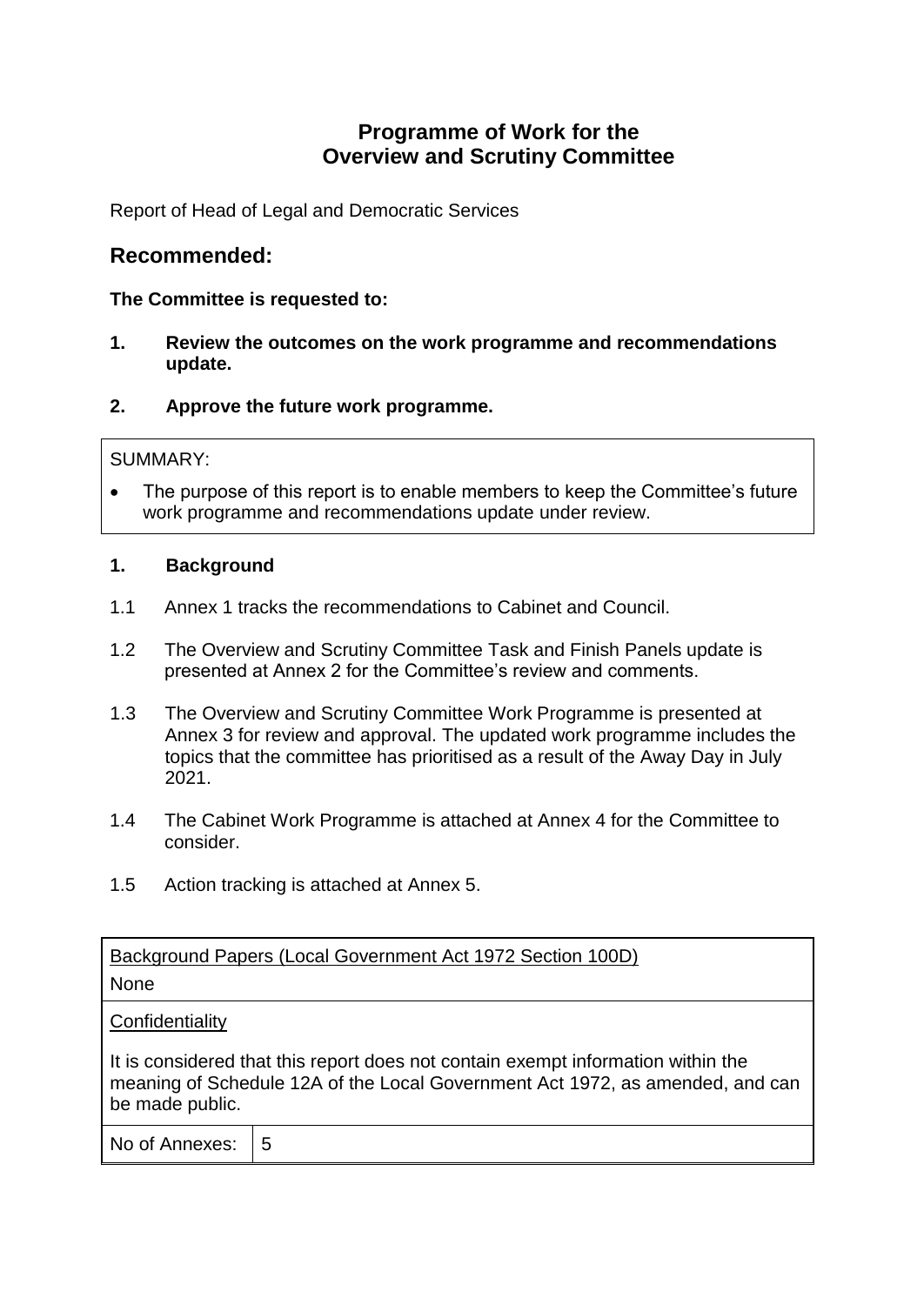# **Programme of Work for the Overview and Scrutiny Committee**

Report of Head of Legal and Democratic Services

# **Recommended:**

## **The Committee is requested to:**

- **1. Review the outcomes on the work programme and recommendations update.**
- **2. Approve the future work programme.**

#### SUMMARY:

 The purpose of this report is to enable members to keep the Committee's future work programme and recommendations update under review.

#### **1. Background**

- 1.1 Annex 1 tracks the recommendations to Cabinet and Council.
- 1.2 The Overview and Scrutiny Committee Task and Finish Panels update is presented at Annex 2 for the Committee's review and comments.
- 1.3 The Overview and Scrutiny Committee Work Programme is presented at Annex 3 for review and approval. The updated work programme includes the topics that the committee has prioritised as a result of the Away Day in July 2021.
- 1.4 The Cabinet Work Programme is attached at Annex 4 for the Committee to consider.
- 1.5 Action tracking is attached at Annex 5.

Background Papers (Local Government Act 1972 Section 100D)

## None

#### **Confidentiality**

It is considered that this report does not contain exempt information within the meaning of Schedule 12A of the Local Government Act 1972, as amended, and can be made public.

| No of Annexes:<br>$\overline{5}$ |
|----------------------------------|
|----------------------------------|